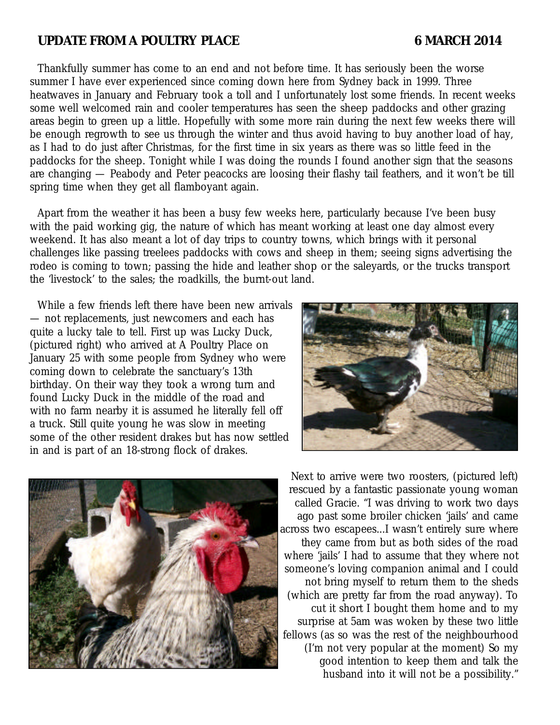# **UPDATE FROM A POULTRY PLACE 6 MARCH 2014**

Thankfully summer has come to an end and not before time. It has seriously been the worse summer I have ever experienced since coming down here from Sydney back in 1999. Three heatwaves in January and February took a toll and I unfortunately lost some friends. In recent weeks some well welcomed rain and cooler temperatures has seen the sheep paddocks and other grazing areas begin to green up a little. Hopefully with some more rain during the next few weeks there will be enough regrowth to see us through the winter and thus avoid having to buy another load of hay, as I had to do just after Christmas, for the first time in six years as there was so little feed in the paddocks for the sheep. Tonight while I was doing the rounds I found another sign that the seasons are changing — Peabody and Peter peacocks are loosing their flashy tail feathers, and it won't be till spring time when they get all flamboyant again.

Apart from the weather it has been a busy few weeks here, particularly because I've been busy with the paid working gig, the nature of which has meant working at least one day almost every weekend. It has also meant a lot of day trips to country towns, which brings with it personal challenges like passing treelees paddocks with cows and sheep in them; seeing signs advertising the rodeo is coming to town; passing the hide and leather shop or the saleyards, or the trucks transport the 'livestock' to the sales; the roadkills, the burnt-out land.

While a few friends left there have been new arrivals — not replacements, just newcomers and each has quite a lucky tale to tell. First up was Lucky Duck, (pictured right) who arrived at A Poultry Place on January 25 with some people from Sydney who were coming down to celebrate the sanctuary's 13th birthday. On their way they took a wrong turn and found Lucky Duck in the middle of the road and with no farm nearby it is assumed he literally fell off a truck. Still quite young he was slow in meeting some of the other resident drakes but has now settled in and is part of an 18-strong flock of drakes.





Next to arrive were two roosters, (pictured left) rescued by a fantastic passionate young woman called Gracie. "I was driving to work two days ago past some broiler chicken 'jails' and came across two escapees...I wasn't entirely sure where they came from but as both sides of the road where 'jails' I had to assume that they where not someone's loving companion animal and I could not bring myself to return them to the sheds (which are pretty far from the road anyway). To cut it short I bought them home and to my surprise at 5am was woken by these two little fellows (as so was the rest of the neighbourhood (I'm not very popular at the moment) So my good intention to keep them and talk the husband into it will not be a possibility."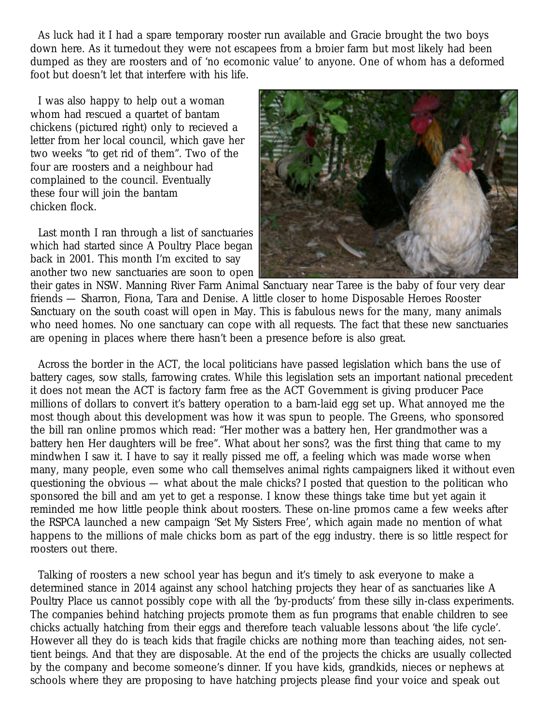As luck had it I had a spare temporary rooster run available and Gracie brought the two boys down here. As it turnedout they were not escapees from a broier farm but most likely had been dumped as they are roosters and of 'no ecomonic value' to anyone. One of whom has a deformed foot but doesn't let that interfere with his life.

I was also happy to help out a woman whom had rescued a quartet of bantam chickens (pictured right) only to recieved a letter from her local council, which gave her two weeks "to get rid of them". Two of the four are roosters and a neighbour had complained to the council. Eventually these four will join the bantam chicken flock.

Last month I ran through a list of sanctuaries which had started since A Poultry Place began back in 2001. This month I'm excited to say another two new sanctuaries are soon to open



their gates in NSW. Manning River Farm Animal Sanctuary near Taree is the baby of four very dear friends — Sharron, Fiona, Tara and Denise. A little closer to home Disposable Heroes Rooster Sanctuary on the south coast will open in May. This is fabulous news for the many, many animals who need homes. No one sanctuary can cope with all requests. The fact that these new sanctuaries are opening in places where there hasn't been a presence before is also great.

Across the border in the ACT, the local politicians have passed legislation which bans the use of battery cages, sow stalls, farrowing crates. While this legislation sets an important national precedent it does not mean the ACT is factory farm free as the ACT Government is giving producer Pace millions of dollars to convert it's battery operation to a barn-laid egg set up. What annoyed me the most though about this development was how it was spun to people. The Greens, who sponsored the bill ran online promos which read: "Her mother was a battery hen, Her grandmother was a battery hen Her daughters will be free". What about her sons?, was the first thing that came to my mindwhen I saw it. I have to say it really pissed me off, a feeling which was made worse when many, many people, even some who call themselves animal rights campaigners liked it without even questioning the obvious — what about the male chicks? I posted that question to the politican who sponsored the bill and am yet to get a response. I know these things take time but yet again it reminded me how little people think about roosters. These on-line promos came a few weeks after the RSPCA launched a new campaign 'Set My Sisters Free', which again made no mention of what happens to the millions of male chicks born as part of the egg industry. there is so little respect for roosters out there.

Talking of roosters a new school year has begun and it's timely to ask everyone to make a determined stance in 2014 against any school hatching projects they hear of as sanctuaries like A Poultry Place us cannot possibly cope with all the 'by-products' from these silly in-class experiments. The companies behind hatching projects promote them as fun programs that enable children to see chicks actually hatching from their eggs and therefore teach valuable lessons about 'the life cycle'. However all they do is teach kids that fragile chicks are nothing more than teaching aides, not sentient beings. And that they are disposable. At the end of the projects the chicks are usually collected by the company and become someone's dinner. If you have kids, grandkids, nieces or nephews at schools where they are proposing to have hatching projects please find your voice and speak out